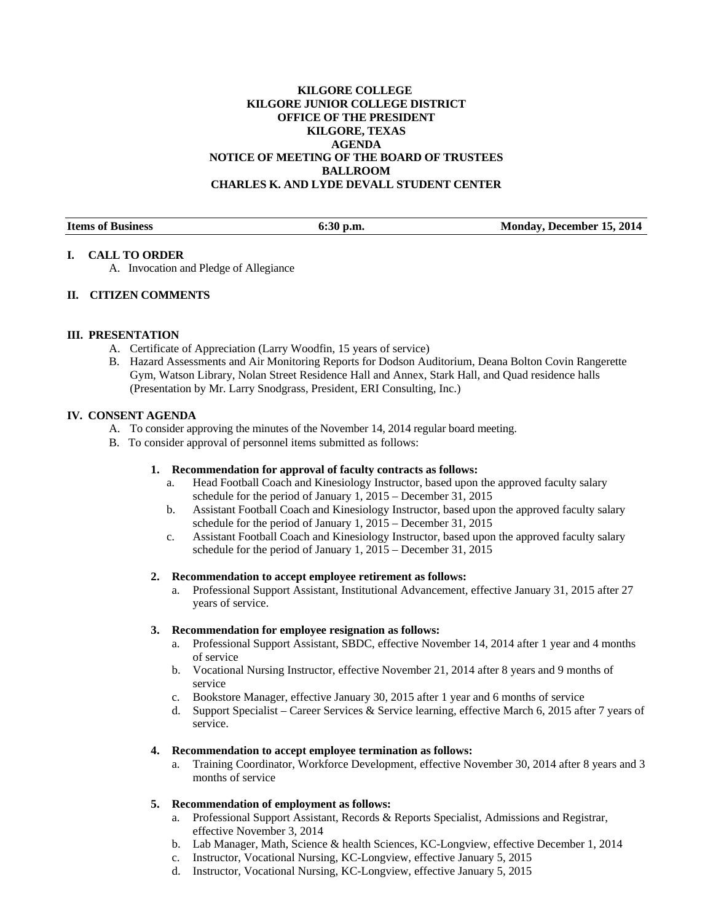# **KILGORE COLLEGE KILGORE JUNIOR COLLEGE DISTRICT OFFICE OF THE PRESIDENT KILGORE, TEXAS AGENDA NOTICE OF MEETING OF THE BOARD OF TRUSTEES BALLROOM CHARLES K. AND LYDE DEVALL STUDENT CENTER**

| <b>Items of Business</b> | $6:30$ p.m. | Monday, December 15, 2014 |
|--------------------------|-------------|---------------------------|

#### **I. CALL TO ORDER**

A. Invocation and Pledge of Allegiance

# **II. CITIZEN COMMENTS**

#### **III. PRESENTATION**

- A. Certificate of Appreciation (Larry Woodfin, 15 years of service)
- B. Hazard Assessments and Air Monitoring Reports for Dodson Auditorium, Deana Bolton Covin Rangerette Gym, Watson Library, Nolan Street Residence Hall and Annex, Stark Hall, and Quad residence halls (Presentation by Mr. Larry Snodgrass, President, ERI Consulting, Inc.)

#### **IV. CONSENT AGENDA**

- A. To consider approving the minutes of the November 14, 2014 regular board meeting.
- B. To consider approval of personnel items submitted as follows:

#### **1. Recommendation for approval of faculty contracts as follows:**

- a. Head Football Coach and Kinesiology Instructor, based upon the approved faculty salary schedule for the period of January 1, 2015 – December 31, 2015
- b. Assistant Football Coach and Kinesiology Instructor, based upon the approved faculty salary schedule for the period of January 1, 2015 – December 31, 2015
- c. Assistant Football Coach and Kinesiology Instructor, based upon the approved faculty salary schedule for the period of January 1, 2015 – December 31, 2015

#### **2. Recommendation to accept employee retirement as follows:**

a. Professional Support Assistant, Institutional Advancement, effective January 31, 2015 after 27 years of service.

#### **3. Recommendation for employee resignation as follows:**

- a. Professional Support Assistant, SBDC, effective November 14, 2014 after 1 year and 4 months of service
- b. Vocational Nursing Instructor, effective November 21, 2014 after 8 years and 9 months of service
- c. Bookstore Manager, effective January 30, 2015 after 1 year and 6 months of service
- d. Support Specialist Career Services & Service learning, effective March 6, 2015 after 7 years of service.

## **4. Recommendation to accept employee termination as follows:**

a. Training Coordinator, Workforce Development, effective November 30, 2014 after 8 years and 3 months of service

# **5. Recommendation of employment as follows:**

- a. Professional Support Assistant, Records & Reports Specialist, Admissions and Registrar, effective November 3, 2014
- b. Lab Manager, Math, Science & health Sciences, KC-Longview, effective December 1, 2014
- c. Instructor, Vocational Nursing, KC-Longview, effective January 5, 2015
- d. Instructor, Vocational Nursing, KC-Longview, effective January 5, 2015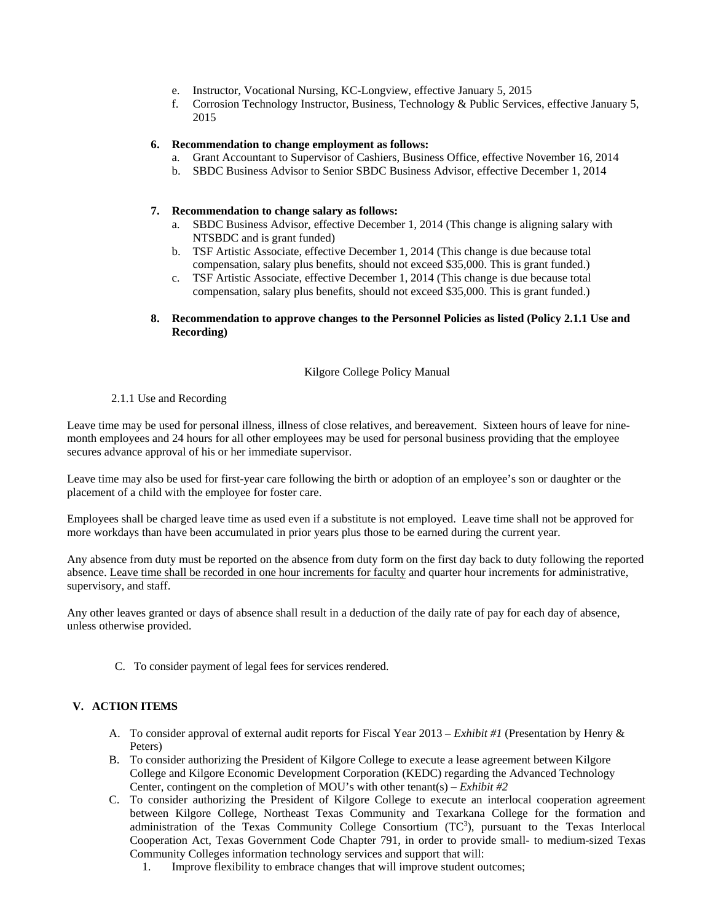- e. Instructor, Vocational Nursing, KC-Longview, effective January 5, 2015
- f. Corrosion Technology Instructor, Business, Technology & Public Services, effective January 5, 2015

## **6. Recommendation to change employment as follows:**

- a. Grant Accountant to Supervisor of Cashiers, Business Office, effective November 16, 2014
- b. SBDC Business Advisor to Senior SBDC Business Advisor, effective December 1, 2014

#### **7. Recommendation to change salary as follows:**

- a. SBDC Business Advisor, effective December 1, 2014 (This change is aligning salary with NTSBDC and is grant funded)
- b. TSF Artistic Associate, effective December 1, 2014 (This change is due because total compensation, salary plus benefits, should not exceed \$35,000. This is grant funded.)
- c. TSF Artistic Associate, effective December 1, 2014 (This change is due because total compensation, salary plus benefits, should not exceed \$35,000. This is grant funded.)

#### **8. Recommendation to approve changes to the Personnel Policies as listed (Policy 2.1.1 Use and Recording)**

#### Kilgore College Policy Manual

#### 2.1.1 Use and Recording

 Leave time may be used for personal illness, illness of close relatives, and bereavement. Sixteen hours of leave for ninemonth employees and 24 hours for all other employees may be used for personal business providing that the employee secures advance approval of his or her immediate supervisor.

Leave time may also be used for first-year care following the birth or adoption of an employee's son or daughter or the placement of a child with the employee for foster care.

Employees shall be charged leave time as used even if a substitute is not employed. Leave time shall not be approved for more workdays than have been accumulated in prior years plus those to be earned during the current year.

Any absence from duty must be reported on the absence from duty form on the first day back to duty following the reported absence. Leave time shall be recorded in one hour increments for faculty and quarter hour increments for administrative, supervisory, and staff.

Any other leaves granted or days of absence shall result in a deduction of the daily rate of pay for each day of absence, unless otherwise provided.

C. To consider payment of legal fees for services rendered.

# **V. ACTION ITEMS**

- A. To consider approval of external audit reports for Fiscal Year 2013 *Exhibit #1* (Presentation by Henry & Peters)
- B. To consider authorizing the President of Kilgore College to execute a lease agreement between Kilgore College and Kilgore Economic Development Corporation (KEDC) regarding the Advanced Technology Center, contingent on the completion of MOU's with other tenant(s) – *Exhibit #2*
- C. To consider authorizing the President of Kilgore College to execute an interlocal cooperation agreement between Kilgore College, Northeast Texas Community and Texarkana College for the formation and administration of the Texas Community College Consortium (TC<sup>3</sup>), pursuant to the Texas Interlocal Cooperation Act, Texas Government Code Chapter 791, in order to provide small- to medium-sized Texas Community Colleges information technology services and support that will:
	- 1. Improve flexibility to embrace changes that will improve student outcomes;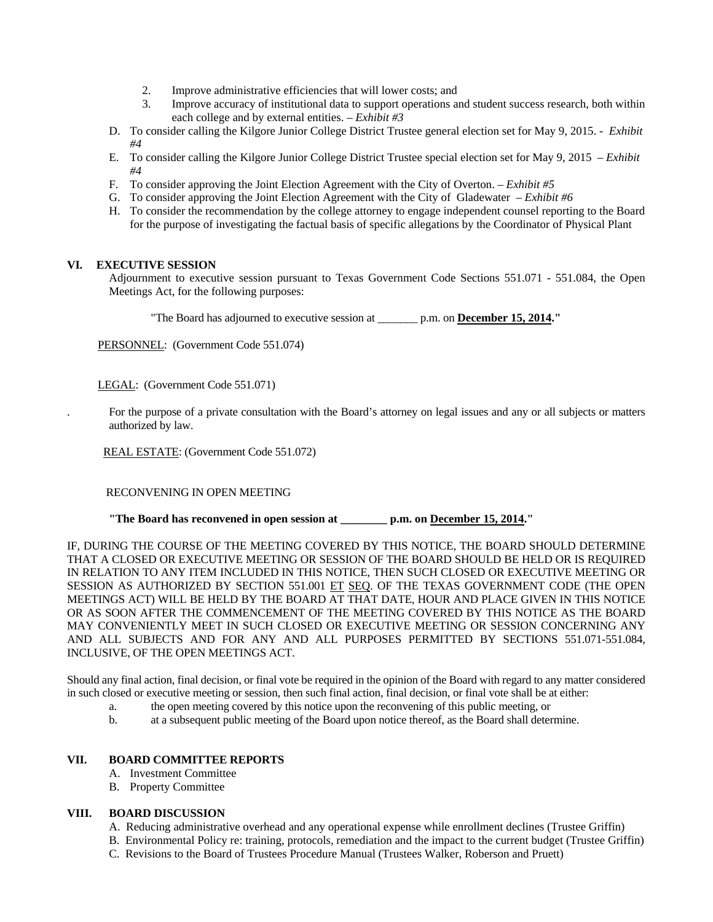- 2. Improve administrative efficiencies that will lower costs; and
- 3. Improve accuracy of institutional data to support operations and student success research, both within each college and by external entities. – *Exhibit #3*
- D. To consider calling the Kilgore Junior College District Trustee general election set for May 9, 2015. *Exhibit #4*
- E. To consider calling the Kilgore Junior College District Trustee special election set for May 9, 2015 *Exhibit #4*
- F. To consider approving the Joint Election Agreement with the City of Overton. *Exhibit #5*
- G. To consider approving the Joint Election Agreement with the City of Gladewater *Exhibit #6*
- H. To consider the recommendation by the college attorney to engage independent counsel reporting to the Board for the purpose of investigating the factual basis of specific allegations by the Coordinator of Physical Plant

#### **VI. EXECUTIVE SESSION**

Adjournment to executive session pursuant to Texas Government Code Sections 551.071 - 551.084, the Open Meetings Act, for the following purposes:

"The Board has adjourned to executive session at \_\_\_\_\_\_\_ p.m. on **December 15, 2014."** 

PERSONNEL: (Government Code 551.074)

LEGAL: (Government Code 551.071)

. For the purpose of a private consultation with the Board's attorney on legal issues and any or all subjects or matters authorized by law.

REAL ESTATE: (Government Code 551.072)

RECONVENING IN OPEN MEETING

 **"The Board has reconvened in open session at \_\_\_\_\_\_\_\_ p.m. on December 15, 2014."** 

IF, DURING THE COURSE OF THE MEETING COVERED BY THIS NOTICE, THE BOARD SHOULD DETERMINE THAT A CLOSED OR EXECUTIVE MEETING OR SESSION OF THE BOARD SHOULD BE HELD OR IS REQUIRED IN RELATION TO ANY ITEM INCLUDED IN THIS NOTICE, THEN SUCH CLOSED OR EXECUTIVE MEETING OR SESSION AS AUTHORIZED BY SECTION 551.001 ET SEQ. OF THE TEXAS GOVERNMENT CODE (THE OPEN MEETINGS ACT) WILL BE HELD BY THE BOARD AT THAT DATE, HOUR AND PLACE GIVEN IN THIS NOTICE OR AS SOON AFTER THE COMMENCEMENT OF THE MEETING COVERED BY THIS NOTICE AS THE BOARD MAY CONVENIENTLY MEET IN SUCH CLOSED OR EXECUTIVE MEETING OR SESSION CONCERNING ANY AND ALL SUBJECTS AND FOR ANY AND ALL PURPOSES PERMITTED BY SECTIONS 551.071-551.084, INCLUSIVE, OF THE OPEN MEETINGS ACT.

Should any final action, final decision, or final vote be required in the opinion of the Board with regard to any matter considered in such closed or executive meeting or session, then such final action, final decision, or final vote shall be at either:

- a. the open meeting covered by this notice upon the reconvening of this public meeting, or
- b. at a subsequent public meeting of the Board upon notice thereof, as the Board shall determine.

## **VII. BOARD COMMITTEE REPORTS**

- A. Investment Committee
- B. Property Committee

# **VIII. BOARD DISCUSSION**

- A. Reducing administrative overhead and any operational expense while enrollment declines (Trustee Griffin)
- B. Environmental Policy re: training, protocols, remediation and the impact to the current budget (Trustee Griffin)
- C. Revisions to the Board of Trustees Procedure Manual (Trustees Walker, Roberson and Pruett)